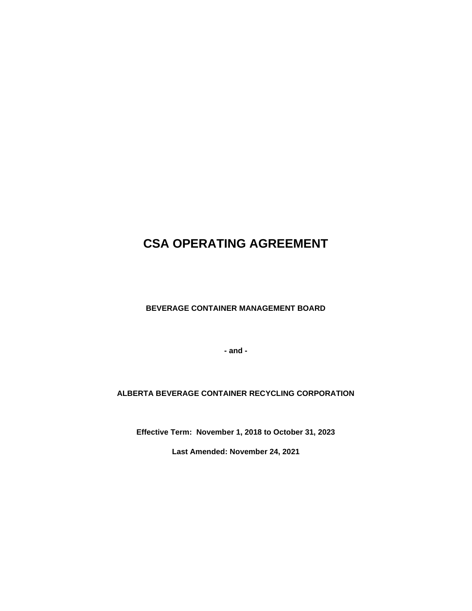# **CSA OPERATING AGREEMENT**

**BEVERAGE CONTAINER MANAGEMENT BOARD**

**- and -**

# **ALBERTA BEVERAGE CONTAINER RECYCLING CORPORATION**

**Effective Term: November 1, 2018 to October 31, 2023**

**Last Amended: November 24, 2021**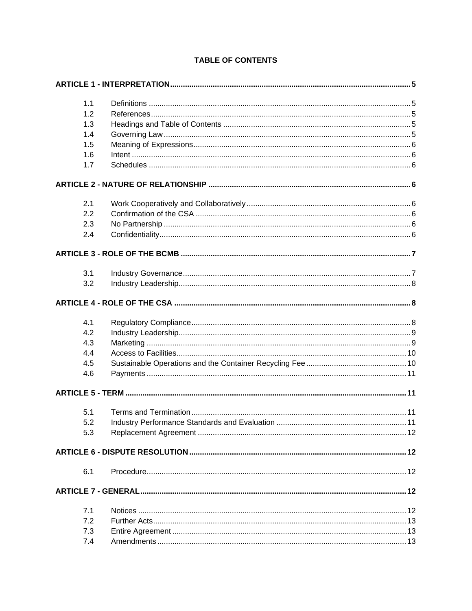|     | 1.1                                                                                                                                                                                                                                                                                                                                                                                                                                  |  |
|-----|--------------------------------------------------------------------------------------------------------------------------------------------------------------------------------------------------------------------------------------------------------------------------------------------------------------------------------------------------------------------------------------------------------------------------------------|--|
|     | 1.2                                                                                                                                                                                                                                                                                                                                                                                                                                  |  |
|     | 1.3                                                                                                                                                                                                                                                                                                                                                                                                                                  |  |
|     | 1.4                                                                                                                                                                                                                                                                                                                                                                                                                                  |  |
|     | 1.5                                                                                                                                                                                                                                                                                                                                                                                                                                  |  |
|     | 1.6<br>$In tent\  \, \ldots \  \, \ldots \  \, \ldots \  \, \ldots \  \, \ldots \  \, \ldots \  \, \ldots \  \, \ldots \  \, \ldots \  \, \ldots \  \, \ldots \  \, \ldots \  \, \ldots \  \, \ldots \  \, \ldots \  \, \ldots \  \, \ldots \  \, \ldots \  \, \ldots \  \, \ldots \  \, \ldots \  \, \ldots \  \, \ldots \  \, \ldots \  \, \ldots \  \, \ldots \  \, \ldots \  \, \ldots \  \, \ldots \  \, \ldots \  \, \ldots \$ |  |
|     | 1.7                                                                                                                                                                                                                                                                                                                                                                                                                                  |  |
|     |                                                                                                                                                                                                                                                                                                                                                                                                                                      |  |
|     | 2.1                                                                                                                                                                                                                                                                                                                                                                                                                                  |  |
|     | 2.2                                                                                                                                                                                                                                                                                                                                                                                                                                  |  |
|     | 2.3                                                                                                                                                                                                                                                                                                                                                                                                                                  |  |
|     | 2.4                                                                                                                                                                                                                                                                                                                                                                                                                                  |  |
|     |                                                                                                                                                                                                                                                                                                                                                                                                                                      |  |
|     | 3.1                                                                                                                                                                                                                                                                                                                                                                                                                                  |  |
|     | 3.2                                                                                                                                                                                                                                                                                                                                                                                                                                  |  |
|     |                                                                                                                                                                                                                                                                                                                                                                                                                                      |  |
|     | 4.1                                                                                                                                                                                                                                                                                                                                                                                                                                  |  |
|     | 4.2                                                                                                                                                                                                                                                                                                                                                                                                                                  |  |
|     | 4.3                                                                                                                                                                                                                                                                                                                                                                                                                                  |  |
|     | 4.4                                                                                                                                                                                                                                                                                                                                                                                                                                  |  |
|     | 4.5                                                                                                                                                                                                                                                                                                                                                                                                                                  |  |
|     | 4.6                                                                                                                                                                                                                                                                                                                                                                                                                                  |  |
|     |                                                                                                                                                                                                                                                                                                                                                                                                                                      |  |
|     | 5.1                                                                                                                                                                                                                                                                                                                                                                                                                                  |  |
|     | 5.2                                                                                                                                                                                                                                                                                                                                                                                                                                  |  |
|     | 5.3                                                                                                                                                                                                                                                                                                                                                                                                                                  |  |
|     |                                                                                                                                                                                                                                                                                                                                                                                                                                      |  |
| 6.1 |                                                                                                                                                                                                                                                                                                                                                                                                                                      |  |
|     |                                                                                                                                                                                                                                                                                                                                                                                                                                      |  |
|     | 7.1                                                                                                                                                                                                                                                                                                                                                                                                                                  |  |
|     | 7.2                                                                                                                                                                                                                                                                                                                                                                                                                                  |  |
|     | 7.3                                                                                                                                                                                                                                                                                                                                                                                                                                  |  |
|     | 7.4                                                                                                                                                                                                                                                                                                                                                                                                                                  |  |

# **TABLE OF CONTENTS**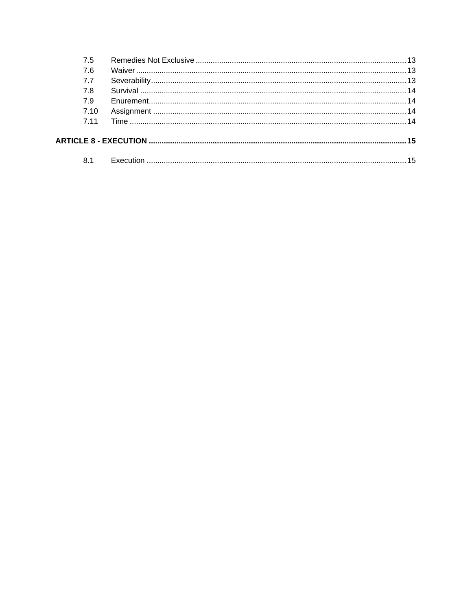| 75    |  |
|-------|--|
| 7.6   |  |
| 7.7   |  |
| 7.8   |  |
| 7.9   |  |
| 7.10  |  |
| 7 1 1 |  |
|       |  |
| 8.1   |  |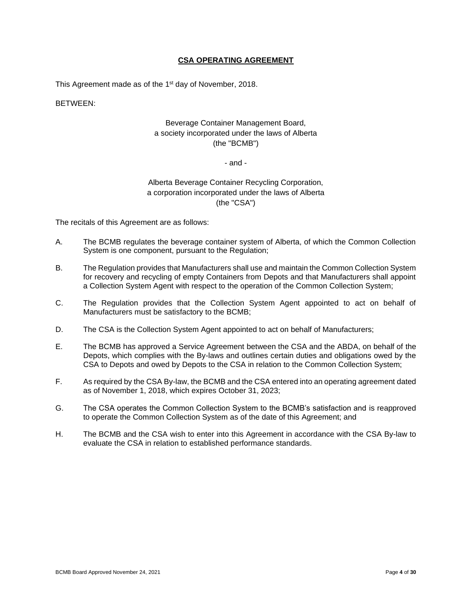## **CSA OPERATING AGREEMENT**

This Agreement made as of the 1<sup>st</sup> day of November, 2018.

BETWEEN:

# Beverage Container Management Board, a society incorporated under the laws of Alberta (the "BCMB")

#### - and -

# Alberta Beverage Container Recycling Corporation, a corporation incorporated under the laws of Alberta (the "CSA")

The recitals of this Agreement are as follows:

- A. The BCMB regulates the beverage container system of Alberta, of which the Common Collection System is one component, pursuant to the Regulation;
- B. The Regulation provides that Manufacturers shall use and maintain the Common Collection System for recovery and recycling of empty Containers from Depots and that Manufacturers shall appoint a Collection System Agent with respect to the operation of the Common Collection System;
- C. The Regulation provides that the Collection System Agent appointed to act on behalf of Manufacturers must be satisfactory to the BCMB;
- D. The CSA is the Collection System Agent appointed to act on behalf of Manufacturers;
- E. The BCMB has approved a Service Agreement between the CSA and the ABDA, on behalf of the Depots, which complies with the By-laws and outlines certain duties and obligations owed by the CSA to Depots and owed by Depots to the CSA in relation to the Common Collection System;
- F. As required by the CSA By-law, the BCMB and the CSA entered into an operating agreement dated as of November 1, 2018, which expires October 31, 2023;
- G. The CSA operates the Common Collection System to the BCMB's satisfaction and is reapproved to operate the Common Collection System as of the date of this Agreement; and
- H. The BCMB and the CSA wish to enter into this Agreement in accordance with the CSA By-law to evaluate the CSA in relation to established performance standards.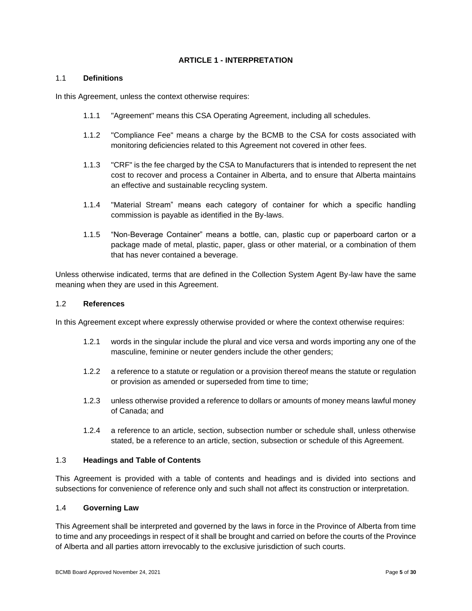#### **ARTICLE 1 - INTERPRETATION**

#### <span id="page-4-1"></span><span id="page-4-0"></span>1.1 **Definitions**

In this Agreement, unless the context otherwise requires:

- 1.1.1 "Agreement" means this CSA Operating Agreement, including all schedules.
- 1.1.2 "Compliance Fee" means a charge by the BCMB to the CSA for costs associated with monitoring deficiencies related to this Agreement not covered in other fees.
- 1.1.3 "CRF" is the fee charged by the CSA to Manufacturers that is intended to represent the net cost to recover and process a Container in Alberta, and to ensure that Alberta maintains an effective and sustainable recycling system.
- 1.1.4 "Material Stream" means each category of container for which a specific handling commission is payable as identified in the By-laws.
- 1.1.5 "Non-Beverage Container" means a bottle, can, plastic cup or paperboard carton or a package made of metal, plastic, paper, glass or other material, or a combination of them that has never contained a beverage.

Unless otherwise indicated, terms that are defined in the Collection System Agent By-law have the same meaning when they are used in this Agreement.

#### <span id="page-4-2"></span>1.2 **References**

In this Agreement except where expressly otherwise provided or where the context otherwise requires:

- 1.2.1 words in the singular include the plural and vice versa and words importing any one of the masculine, feminine or neuter genders include the other genders;
- 1.2.2 a reference to a statute or regulation or a provision thereof means the statute or regulation or provision as amended or superseded from time to time;
- 1.2.3 unless otherwise provided a reference to dollars or amounts of money means lawful money of Canada; and
- 1.2.4 a reference to an article, section, subsection number or schedule shall, unless otherwise stated, be a reference to an article, section, subsection or schedule of this Agreement.

# <span id="page-4-3"></span>1.3 **Headings and Table of Contents**

This Agreement is provided with a table of contents and headings and is divided into sections and subsections for convenience of reference only and such shall not affect its construction or interpretation.

#### <span id="page-4-4"></span>1.4 **Governing Law**

This Agreement shall be interpreted and governed by the laws in force in the Province of Alberta from time to time and any proceedings in respect of it shall be brought and carried on before the courts of the Province of Alberta and all parties attorn irrevocably to the exclusive jurisdiction of such courts.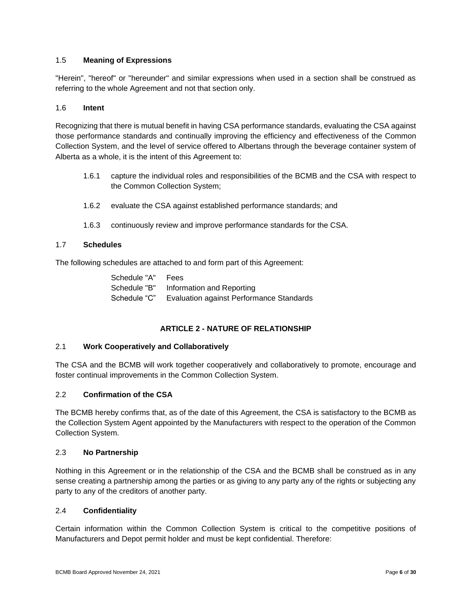# <span id="page-5-0"></span>1.5 **Meaning of Expressions**

"Herein", "hereof" or "hereunder" and similar expressions when used in a section shall be construed as referring to the whole Agreement and not that section only.

## <span id="page-5-1"></span>1.6 **Intent**

Recognizing that there is mutual benefit in having CSA performance standards, evaluating the CSA against those performance standards and continually improving the efficiency and effectiveness of the Common Collection System, and the level of service offered to Albertans through the beverage container system of Alberta as a whole, it is the intent of this Agreement to:

- 1.6.1 capture the individual roles and responsibilities of the BCMB and the CSA with respect to the Common Collection System;
- 1.6.2 evaluate the CSA against established performance standards; and
- 1.6.3 continuously review and improve performance standards for the CSA.

#### <span id="page-5-2"></span>1.7 **Schedules**

The following schedules are attached to and form part of this Agreement:

| Schedule "A" | Fees                                     |
|--------------|------------------------------------------|
| Schedule "B" | Information and Reporting                |
| Schedule "C" | Evaluation against Performance Standards |

# **ARTICLE 2 - NATURE OF RELATIONSHIP**

#### <span id="page-5-4"></span><span id="page-5-3"></span>2.1 **Work Cooperatively and Collaboratively**

The CSA and the BCMB will work together cooperatively and collaboratively to promote, encourage and foster continual improvements in the Common Collection System.

# <span id="page-5-5"></span>2.2 **Confirmation of the CSA**

The BCMB hereby confirms that, as of the date of this Agreement, the CSA is satisfactory to the BCMB as the Collection System Agent appointed by the Manufacturers with respect to the operation of the Common Collection System.

#### <span id="page-5-6"></span>2.3 **No Partnership**

Nothing in this Agreement or in the relationship of the CSA and the BCMB shall be construed as in any sense creating a partnership among the parties or as giving to any party any of the rights or subjecting any party to any of the creditors of another party.

#### <span id="page-5-7"></span>2.4 **Confidentiality**

Certain information within the Common Collection System is critical to the competitive positions of Manufacturers and Depot permit holder and must be kept confidential. Therefore: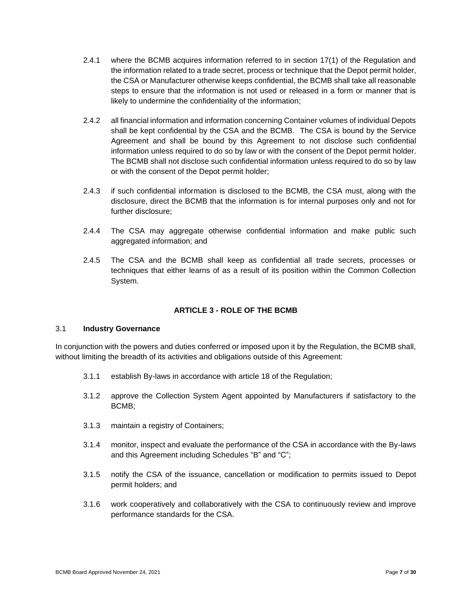- 2.4.1 where the BCMB acquires information referred to in section 17(1) of the Regulation and the information related to a trade secret, process or technique that the Depot permit holder, the CSA or Manufacturer otherwise keeps confidential, the BCMB shall take all reasonable steps to ensure that the information is not used or released in a form or manner that is likely to undermine the confidentiality of the information;
- 2.4.2 all financial information and information concerning Container volumes of individual Depots shall be kept confidential by the CSA and the BCMB. The CSA is bound by the Service Agreement and shall be bound by this Agreement to not disclose such confidential information unless required to do so by law or with the consent of the Depot permit holder. The BCMB shall not disclose such confidential information unless required to do so by law or with the consent of the Depot permit holder;
- 2.4.3 if such confidential information is disclosed to the BCMB, the CSA must, along with the disclosure, direct the BCMB that the information is for internal purposes only and not for further disclosure;
- 2.4.4 The CSA may aggregate otherwise confidential information and make public such aggregated information; and
- 2.4.5 The CSA and the BCMB shall keep as confidential all trade secrets, processes or techniques that either learns of as a result of its position within the Common Collection System.

# **ARTICLE 3 - ROLE OF THE BCMB**

#### <span id="page-6-1"></span><span id="page-6-0"></span>3.1 **Industry Governance**

In conjunction with the powers and duties conferred or imposed upon it by the Regulation, the BCMB shall, without limiting the breadth of its activities and obligations outside of this Agreement:

- 3.1.1 establish By-laws in accordance with article 18 of the Regulation;
- 3.1.2 approve the Collection System Agent appointed by Manufacturers if satisfactory to the BCMB;
- 3.1.3 maintain a registry of Containers;
- 3.1.4 monitor, inspect and evaluate the performance of the CSA in accordance with the By-laws and this Agreement including Schedules "B" and "C";
- 3.1.5 notify the CSA of the issuance, cancellation or modification to permits issued to Depot permit holders; and
- 3.1.6 work cooperatively and collaboratively with the CSA to continuously review and improve performance standards for the CSA.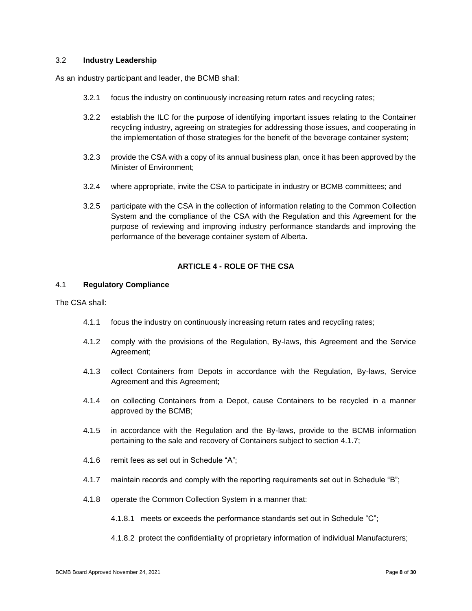### <span id="page-7-0"></span>3.2 **Industry Leadership**

As an industry participant and leader, the BCMB shall:

- 3.2.1 focus the industry on continuously increasing return rates and recycling rates;
- 3.2.2 establish the ILC for the purpose of identifying important issues relating to the Container recycling industry, agreeing on strategies for addressing those issues, and cooperating in the implementation of those strategies for the benefit of the beverage container system;
- 3.2.3 provide the CSA with a copy of its annual business plan, once it has been approved by the Minister of Environment;
- 3.2.4 where appropriate, invite the CSA to participate in industry or BCMB committees; and
- 3.2.5 participate with the CSA in the collection of information relating to the Common Collection System and the compliance of the CSA with the Regulation and this Agreement for the purpose of reviewing and improving industry performance standards and improving the performance of the beverage container system of Alberta.

# **ARTICLE 4 - ROLE OF THE CSA**

## <span id="page-7-2"></span><span id="page-7-1"></span>4.1 **Regulatory Compliance**

The CSA shall:

- 4.1.1 focus the industry on continuously increasing return rates and recycling rates;
- 4.1.2 comply with the provisions of the Regulation, By-laws, this Agreement and the Service Agreement;
- 4.1.3 collect Containers from Depots in accordance with the Regulation, By-laws, Service Agreement and this Agreement;
- 4.1.4 on collecting Containers from a Depot, cause Containers to be recycled in a manner approved by the BCMB;
- 4.1.5 in accordance with the Regulation and the By-laws, provide to the BCMB information pertaining to the sale and recovery of Containers subject to section 4.1.7;
- 4.1.6 remit fees as set out in Schedule "A";
- 4.1.7 maintain records and comply with the reporting requirements set out in Schedule "B";
- 4.1.8 operate the Common Collection System in a manner that:
	- 4.1.8.1 meets or exceeds the performance standards set out in Schedule "C";
	- 4.1.8.2 protect the confidentiality of proprietary information of individual Manufacturers;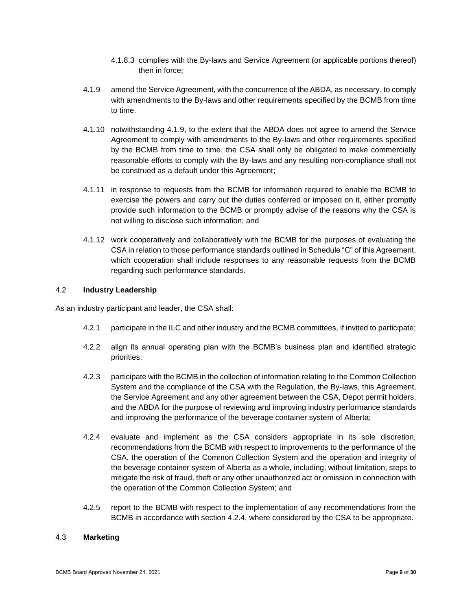- 4.1.8.3 complies with the By-laws and Service Agreement (or applicable portions thereof) then in force;
- 4.1.9 amend the Service Agreement, with the concurrence of the ABDA, as necessary, to comply with amendments to the By-laws and other requirements specified by the BCMB from time to time.
- 4.1.10 notwithstanding 4.1.9, to the extent that the ABDA does not agree to amend the Service Agreement to comply with amendments to the By-laws and other requirements specified by the BCMB from time to time, the CSA shall only be obligated to make commercially reasonable efforts to comply with the By-laws and any resulting non-compliance shall not be construed as a default under this Agreement;
- 4.1.11 in response to requests from the BCMB for information required to enable the BCMB to exercise the powers and carry out the duties conferred or imposed on it, either promptly provide such information to the BCMB or promptly advise of the reasons why the CSA is not willing to disclose such information; and
- 4.1.12 work cooperatively and collaboratively with the BCMB for the purposes of evaluating the CSA in relation to those performance standards outlined in Schedule "C" of this Agreement, which cooperation shall include responses to any reasonable requests from the BCMB regarding such performance standards.

#### <span id="page-8-0"></span>4.2 **Industry Leadership**

As an industry participant and leader, the CSA shall:

- 4.2.1 participate in the ILC and other industry and the BCMB committees, if invited to participate;
- 4.2.2 align its annual operating plan with the BCMB's business plan and identified strategic priorities;
- 4.2.3 participate with the BCMB in the collection of information relating to the Common Collection System and the compliance of the CSA with the Regulation, the By-laws, this Agreement, the Service Agreement and any other agreement between the CSA, Depot permit holders, and the ABDA for the purpose of reviewing and improving industry performance standards and improving the performance of the beverage container system of Alberta;
- 4.2.4 evaluate and implement as the CSA considers appropriate in its sole discretion, recommendations from the BCMB with respect to improvements to the performance of the CSA, the operation of the Common Collection System and the operation and integrity of the beverage container system of Alberta as a whole, including, without limitation, steps to mitigate the risk of fraud, theft or any other unauthorized act or omission in connection with the operation of the Common Collection System; and
- 4.2.5 report to the BCMB with respect to the implementation of any recommendations from the BCMB in accordance with section 4.2.4, where considered by the CSA to be appropriate.

# <span id="page-8-1"></span>4.3 **Marketing**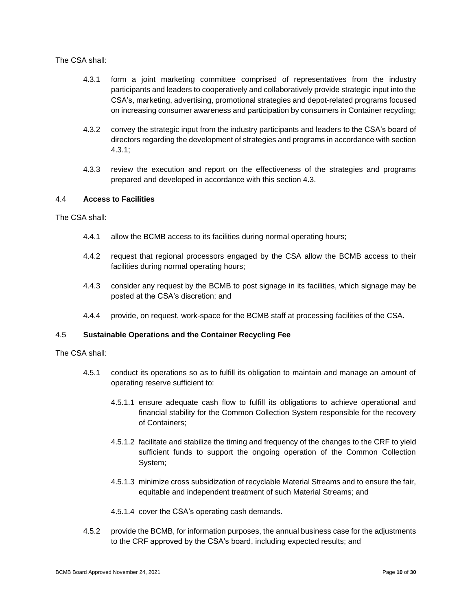#### The CSA shall:

- 4.3.1 form a joint marketing committee comprised of representatives from the industry participants and leaders to cooperatively and collaboratively provide strategic input into the CSA's, marketing, advertising, promotional strategies and depot-related programs focused on increasing consumer awareness and participation by consumers in Container recycling;
- 4.3.2 convey the strategic input from the industry participants and leaders to the CSA's board of directors regarding the development of strategies and programs in accordance with section 4.3.1;
- 4.3.3 review the execution and report on the effectiveness of the strategies and programs prepared and developed in accordance with this section 4.3.

## <span id="page-9-0"></span>4.4 **Access to Facilities**

The CSA shall:

- 4.4.1 allow the BCMB access to its facilities during normal operating hours;
- 4.4.2 request that regional processors engaged by the CSA allow the BCMB access to their facilities during normal operating hours;
- 4.4.3 consider any request by the BCMB to post signage in its facilities, which signage may be posted at the CSA's discretion; and
- 4.4.4 provide, on request, work-space for the BCMB staff at processing facilities of the CSA.

## <span id="page-9-1"></span>4.5 **Sustainable Operations and the Container Recycling Fee**

The CSA shall:

- 4.5.1 conduct its operations so as to fulfill its obligation to maintain and manage an amount of operating reserve sufficient to:
	- 4.5.1.1 ensure adequate cash flow to fulfill its obligations to achieve operational and financial stability for the Common Collection System responsible for the recovery of Containers;
	- 4.5.1.2 facilitate and stabilize the timing and frequency of the changes to the CRF to yield sufficient funds to support the ongoing operation of the Common Collection System;
	- 4.5.1.3 minimize cross subsidization of recyclable Material Streams and to ensure the fair, equitable and independent treatment of such Material Streams; and

4.5.1.4 cover the CSA's operating cash demands.

4.5.2 provide the BCMB, for information purposes, the annual business case for the adjustments to the CRF approved by the CSA's board, including expected results; and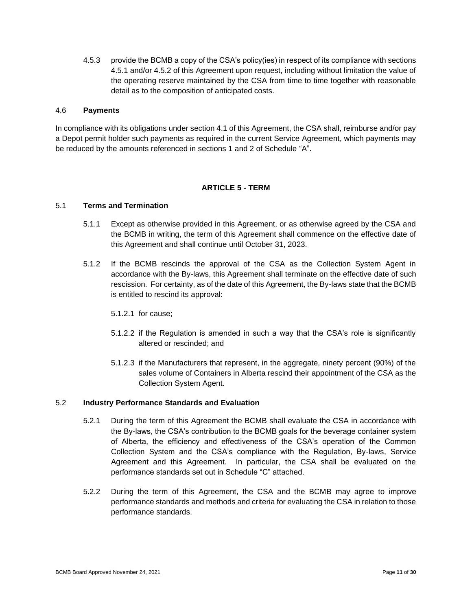4.5.3 provide the BCMB a copy of the CSA's policy(ies) in respect of its compliance with sections 4.5.1 and/or 4.5.2 of this Agreement upon request, including without limitation the value of the operating reserve maintained by the CSA from time to time together with reasonable detail as to the composition of anticipated costs.

#### <span id="page-10-0"></span>4.6 **Payments**

In compliance with its obligations under section 4.1 of this Agreement, the CSA shall, reimburse and/or pay a Depot permit holder such payments as required in the current Service Agreement, which payments may be reduced by the amounts referenced in sections 1 and 2 of Schedule "A".

#### **ARTICLE 5 - TERM**

#### <span id="page-10-2"></span><span id="page-10-1"></span>5.1 **Terms and Termination**

- 5.1.1 Except as otherwise provided in this Agreement, or as otherwise agreed by the CSA and the BCMB in writing, the term of this Agreement shall commence on the effective date of this Agreement and shall continue until October 31, 2023.
- 5.1.2 If the BCMB rescinds the approval of the CSA as the Collection System Agent in accordance with the By-laws, this Agreement shall terminate on the effective date of such rescission. For certainty, as of the date of this Agreement, the By-laws state that the BCMB is entitled to rescind its approval:
	- 5.1.2.1 for cause;
	- 5.1.2.2 if the Regulation is amended in such a way that the CSA's role is significantly altered or rescinded; and
	- 5.1.2.3 if the Manufacturers that represent, in the aggregate, ninety percent (90%) of the sales volume of Containers in Alberta rescind their appointment of the CSA as the Collection System Agent.

# <span id="page-10-3"></span>5.2 **Industry Performance Standards and Evaluation**

- 5.2.1 During the term of this Agreement the BCMB shall evaluate the CSA in accordance with the By-laws, the CSA's contribution to the BCMB goals for the beverage container system of Alberta, the efficiency and effectiveness of the CSA's operation of the Common Collection System and the CSA's compliance with the Regulation, By-laws, Service Agreement and this Agreement. In particular, the CSA shall be evaluated on the performance standards set out in Schedule "C" attached.
- 5.2.2 During the term of this Agreement, the CSA and the BCMB may agree to improve performance standards and methods and criteria for evaluating the CSA in relation to those performance standards.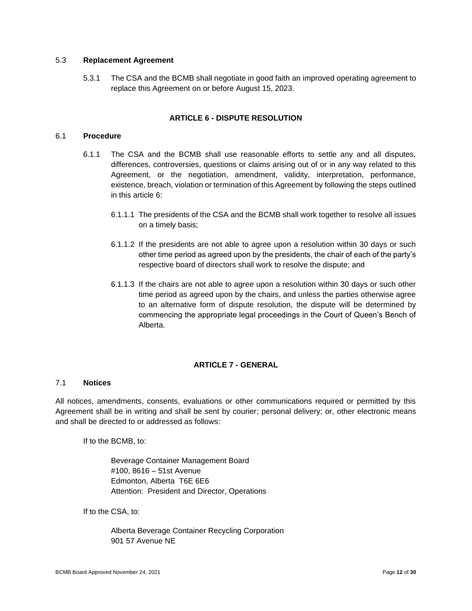#### <span id="page-11-0"></span>5.3 **Replacement Agreement**

5.3.1 The CSA and the BCMB shall negotiate in good faith an improved operating agreement to replace this Agreement on or before August 15, 2023.

#### **ARTICLE 6 - DISPUTE RESOLUTION**

# <span id="page-11-2"></span><span id="page-11-1"></span>6.1 **Procedure**

- 6.1.1 The CSA and the BCMB shall use reasonable efforts to settle any and all disputes, differences, controversies, questions or claims arising out of or in any way related to this Agreement, or the negotiation, amendment, validity, interpretation, performance, existence, breach, violation or termination of this Agreement by following the steps outlined in this article 6:
	- 6.1.1.1 The presidents of the CSA and the BCMB shall work together to resolve all issues on a timely basis;
	- 6.1.1.2 If the presidents are not able to agree upon a resolution within 30 days or such other time period as agreed upon by the presidents, the chair of each of the party's respective board of directors shall work to resolve the dispute; and
	- 6.1.1.3 If the chairs are not able to agree upon a resolution within 30 days or such other time period as agreed upon by the chairs, and unless the parties otherwise agree to an alternative form of dispute resolution, the dispute will be determined by commencing the appropriate legal proceedings in the Court of Queen's Bench of Alberta.

# **ARTICLE 7 - GENERAL**

# <span id="page-11-4"></span><span id="page-11-3"></span>7.1 **Notices**

All notices, amendments, consents, evaluations or other communications required or permitted by this Agreement shall be in writing and shall be sent by courier; personal delivery; or, other electronic means and shall be directed to or addressed as follows:

If to the BCMB, to:

Beverage Container Management Board #100, 8616 – 51st Avenue Edmonton, Alberta T6E 6E6 Attention: President and Director, Operations

If to the CSA, to:

Alberta Beverage Container Recycling Corporation 901 57 Avenue NE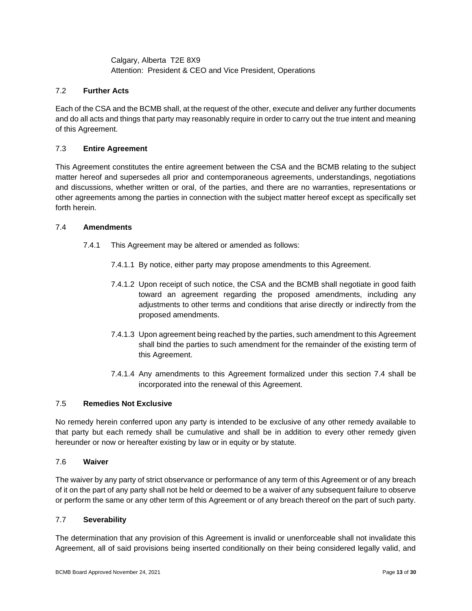Calgary, Alberta T2E 8X9 Attention: President & CEO and Vice President, Operations

# <span id="page-12-0"></span>7.2 **Further Acts**

Each of the CSA and the BCMB shall, at the request of the other, execute and deliver any further documents and do all acts and things that party may reasonably require in order to carry out the true intent and meaning of this Agreement.

# <span id="page-12-1"></span>7.3 **Entire Agreement**

This Agreement constitutes the entire agreement between the CSA and the BCMB relating to the subject matter hereof and supersedes all prior and contemporaneous agreements, understandings, negotiations and discussions, whether written or oral, of the parties, and there are no warranties, representations or other agreements among the parties in connection with the subject matter hereof except as specifically set forth herein.

#### <span id="page-12-2"></span>7.4 **Amendments**

- 7.4.1 This Agreement may be altered or amended as follows:
	- 7.4.1.1 By notice, either party may propose amendments to this Agreement.
	- 7.4.1.2 Upon receipt of such notice, the CSA and the BCMB shall negotiate in good faith toward an agreement regarding the proposed amendments, including any adjustments to other terms and conditions that arise directly or indirectly from the proposed amendments.
	- 7.4.1.3 Upon agreement being reached by the parties, such amendment to this Agreement shall bind the parties to such amendment for the remainder of the existing term of this Agreement.
	- 7.4.1.4 Any amendments to this Agreement formalized under this section 7.4 shall be incorporated into the renewal of this Agreement.

# <span id="page-12-3"></span>7.5 **Remedies Not Exclusive**

No remedy herein conferred upon any party is intended to be exclusive of any other remedy available to that party but each remedy shall be cumulative and shall be in addition to every other remedy given hereunder or now or hereafter existing by law or in equity or by statute.

#### <span id="page-12-4"></span>7.6 **Waiver**

The waiver by any party of strict observance or performance of any term of this Agreement or of any breach of it on the part of any party shall not be held or deemed to be a waiver of any subsequent failure to observe or perform the same or any other term of this Agreement or of any breach thereof on the part of such party.

#### <span id="page-12-5"></span>7.7 **Severability**

The determination that any provision of this Agreement is invalid or unenforceable shall not invalidate this Agreement, all of said provisions being inserted conditionally on their being considered legally valid, and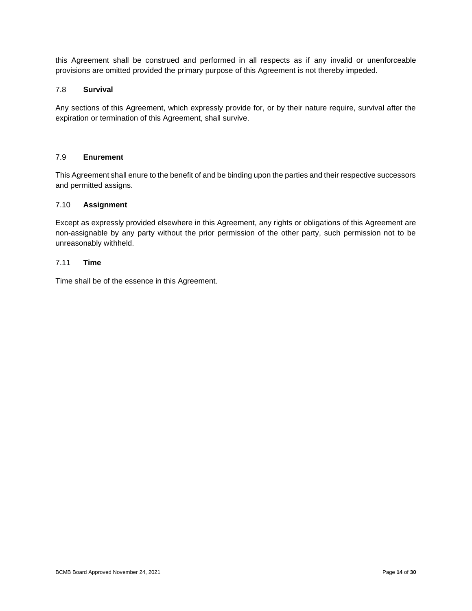this Agreement shall be construed and performed in all respects as if any invalid or unenforceable provisions are omitted provided the primary purpose of this Agreement is not thereby impeded.

## <span id="page-13-0"></span>7.8 **Survival**

Any sections of this Agreement, which expressly provide for, or by their nature require, survival after the expiration or termination of this Agreement, shall survive.

# <span id="page-13-1"></span>7.9 **Enurement**

This Agreement shall enure to the benefit of and be binding upon the parties and their respective successors and permitted assigns.

# <span id="page-13-2"></span>7.10 **Assignment**

Except as expressly provided elsewhere in this Agreement, any rights or obligations of this Agreement are non-assignable by any party without the prior permission of the other party, such permission not to be unreasonably withheld.

# <span id="page-13-3"></span>7.11 **Time**

Time shall be of the essence in this Agreement.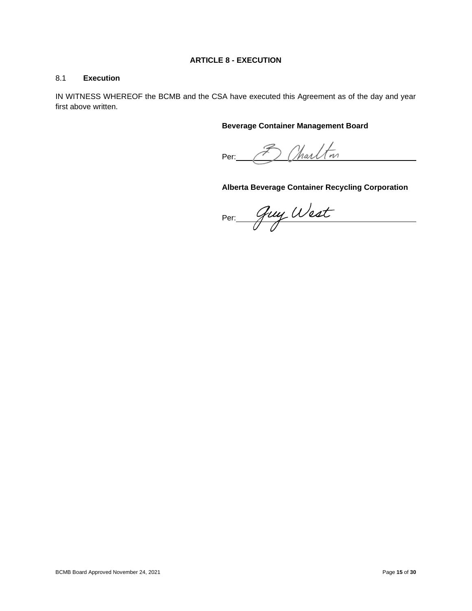# **ARTICLE 8 - EXECUTION**

## <span id="page-14-1"></span><span id="page-14-0"></span>8.1 **Execution**

IN WITNESS WHEREOF the BCMB and the CSA have executed this Agreement as of the day and year first above written.

## **Beverage Container Management Board**

3 Charlton Per:

# **Alberta Beverage Container Recycling Corporation**

Per: Guy West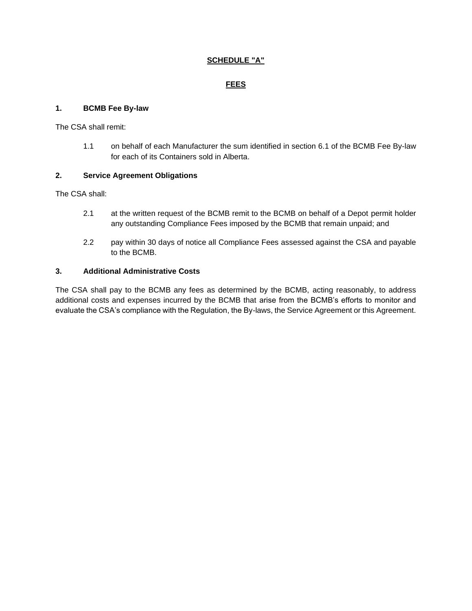# **SCHEDULE "A"**

# **FEES**

# **1. BCMB Fee By-law**

The CSA shall remit:

1.1 on behalf of each Manufacturer the sum identified in section 6.1 of the BCMB Fee By-law for each of its Containers sold in Alberta.

# **2. Service Agreement Obligations**

The CSA shall:

- 2.1 at the written request of the BCMB remit to the BCMB on behalf of a Depot permit holder any outstanding Compliance Fees imposed by the BCMB that remain unpaid; and
- 2.2 pay within 30 days of notice all Compliance Fees assessed against the CSA and payable to the BCMB.

# **3. Additional Administrative Costs**

The CSA shall pay to the BCMB any fees as determined by the BCMB, acting reasonably, to address additional costs and expenses incurred by the BCMB that arise from the BCMB's efforts to monitor and evaluate the CSA's compliance with the Regulation, the By-laws, the Service Agreement or this Agreement.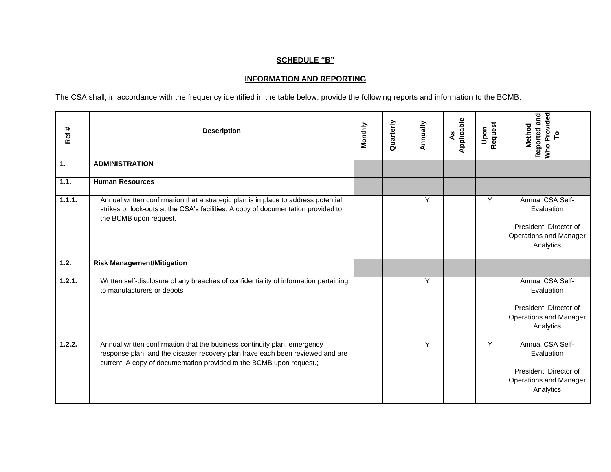# **SCHEDULE "B"**

# **INFORMATION AND REPORTING**

The CSA shall, in accordance with the frequency identified in the table below, provide the following reports and information to the BCMB:

| Ref #  | <b>Description</b>                                                                                                                                                                                                                | Monthly | Quarterly | Annually | Applicable<br>٩S | Request<br>Upon | Who Provided<br>Reported and<br>Method                                                                 |
|--------|-----------------------------------------------------------------------------------------------------------------------------------------------------------------------------------------------------------------------------------|---------|-----------|----------|------------------|-----------------|--------------------------------------------------------------------------------------------------------|
| 1.     | <b>ADMINISTRATION</b>                                                                                                                                                                                                             |         |           |          |                  |                 |                                                                                                        |
| 1.1.   | <b>Human Resources</b>                                                                                                                                                                                                            |         |           |          |                  |                 |                                                                                                        |
| 1.1.1. | Annual written confirmation that a strategic plan is in place to address potential<br>strikes or lock-outs at the CSA's facilities. A copy of documentation provided to<br>the BCMB upon request.                                 |         |           | Y        |                  | Y               | Annual CSA Self-<br>Evaluation<br>President, Director of<br><b>Operations and Manager</b><br>Analytics |
| 1.2.   | <b>Risk Management/Mitigation</b>                                                                                                                                                                                                 |         |           |          |                  |                 |                                                                                                        |
| 1.2.1. | Written self-disclosure of any breaches of confidentiality of information pertaining<br>to manufacturers or depots                                                                                                                |         |           | Y        |                  |                 | Annual CSA Self-<br>Evaluation<br>President, Director of<br><b>Operations and Manager</b><br>Analytics |
| 1.2.2. | Annual written confirmation that the business continuity plan, emergency<br>response plan, and the disaster recovery plan have each been reviewed and are<br>current. A copy of documentation provided to the BCMB upon request.; |         |           | Y        |                  | Y               | Annual CSA Self-<br>Evaluation<br>President, Director of<br><b>Operations and Manager</b><br>Analytics |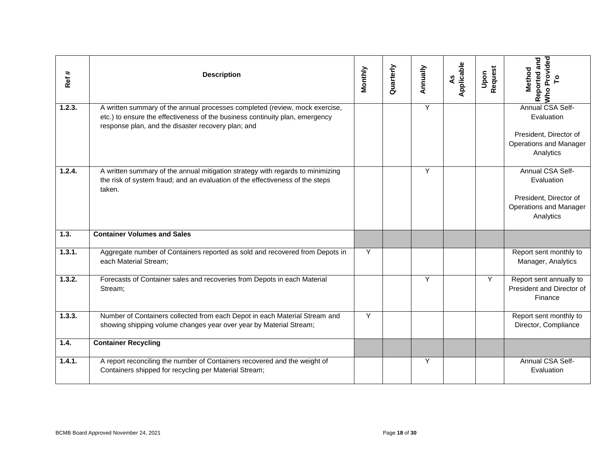| Ref#   | <b>Description</b>                                                                                                                                                                                                | Monthly | Quarterly     | Annually | Applicable<br>$\mathbf{A}$ s | Request<br>Upon | Who Provided<br>Reported and<br>Method                                                                 |
|--------|-------------------------------------------------------------------------------------------------------------------------------------------------------------------------------------------------------------------|---------|---------------|----------|------------------------------|-----------------|--------------------------------------------------------------------------------------------------------|
| 1.2.3. | A written summary of the annual processes completed (review, mock exercise,<br>etc.) to ensure the effectiveness of the business continuity plan, emergency<br>response plan, and the disaster recovery plan; and |         |               | Y        |                              |                 | Annual CSA Self-<br>Evaluation<br>President, Director of<br><b>Operations and Manager</b><br>Analytics |
| 1.2.4. | A written summary of the annual mitigation strategy with regards to minimizing<br>the risk of system fraud; and an evaluation of the effectiveness of the steps<br>taken.                                         |         |               | Υ        |                              |                 | Annual CSA Self-<br>Evaluation<br>President, Director of<br>Operations and Manager<br>Analytics        |
| 1.3.   | <b>Container Volumes and Sales</b>                                                                                                                                                                                |         |               |          |                              |                 |                                                                                                        |
| 1.3.1. | Aggregate number of Containers reported as sold and recovered from Depots in<br>each Material Stream;                                                                                                             | Y       |               |          |                              |                 | Report sent monthly to<br>Manager, Analytics                                                           |
| 1.3.2. | Forecasts of Container sales and recoveries from Depots in each Material<br>Stream;                                                                                                                               |         |               | Y        |                              | Y               | Report sent annually to<br>President and Director of<br>Finance                                        |
| 1.3.3. | Number of Containers collected from each Depot in each Material Stream and<br>showing shipping volume changes year over year by Material Stream;                                                                  | Υ       |               |          |                              |                 | Report sent monthly to<br>Director, Compliance                                                         |
| 1.4.   | <b>Container Recycling</b>                                                                                                                                                                                        |         |               |          |                              |                 |                                                                                                        |
| 1.4.1. | A report reconciling the number of Containers recovered and the weight of<br>Containers shipped for recycling per Material Stream;                                                                                |         |               | Υ        |                              |                 | Annual CSA Self-<br>Evaluation                                                                         |
|        | BCMB Board Approved November 24, 2021                                                                                                                                                                             |         | Page 18 of 30 |          |                              |                 |                                                                                                        |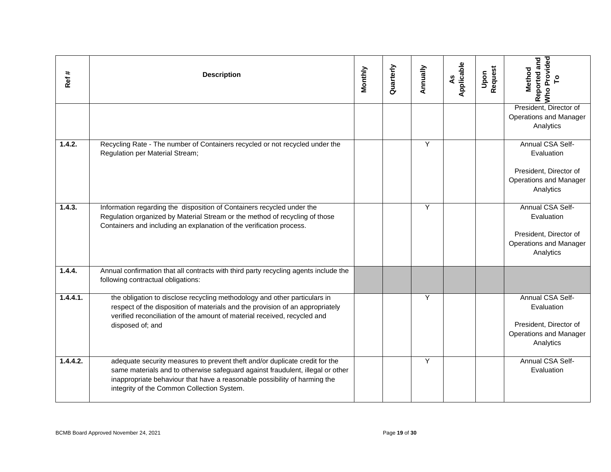| Ref#     | <b>Description</b>                                                                                                                                                                                                                                                                       | Monthly | Quarterly     | Annually | Applicable<br>٩S | Request<br>Upon | Who Provided<br>Reported and<br>Method                                                                 |
|----------|------------------------------------------------------------------------------------------------------------------------------------------------------------------------------------------------------------------------------------------------------------------------------------------|---------|---------------|----------|------------------|-----------------|--------------------------------------------------------------------------------------------------------|
|          |                                                                                                                                                                                                                                                                                          |         |               |          |                  |                 | President, Director of<br><b>Operations and Manager</b><br>Analytics                                   |
| 1.4.2.   | Recycling Rate - The number of Containers recycled or not recycled under the<br>Regulation per Material Stream;                                                                                                                                                                          |         |               | Y        |                  |                 | Annual CSA Self-<br>Evaluation<br>President, Director of<br>Operations and Manager<br>Analytics        |
| 1.4.3.   | Information regarding the disposition of Containers recycled under the<br>Regulation organized by Material Stream or the method of recycling of those<br>Containers and including an explanation of the verification process.                                                            |         |               | Y        |                  |                 | Annual CSA Self-<br>Evaluation<br>President, Director of<br><b>Operations and Manager</b><br>Analytics |
| 1.4.4.   | Annual confirmation that all contracts with third party recycling agents include the<br>following contractual obligations:                                                                                                                                                               |         |               |          |                  |                 |                                                                                                        |
| 1.4.4.1. | the obligation to disclose recycling methodology and other particulars in<br>respect of the disposition of materials and the provision of an appropriately<br>verified reconciliation of the amount of material received, recycled and<br>disposed of; and                               |         |               | Y        |                  |                 | Annual CSA Self-<br>Evaluation<br>President, Director of<br>Operations and Manager<br>Analytics        |
| 1.4.4.2. | adequate security measures to prevent theft and/or duplicate credit for the<br>same materials and to otherwise safeguard against fraudulent, illegal or other<br>inappropriate behaviour that have a reasonable possibility of harming the<br>integrity of the Common Collection System. |         |               | Y        |                  |                 | Annual CSA Self-<br>Evaluation                                                                         |
|          | BCMB Board Approved November 24, 2021                                                                                                                                                                                                                                                    |         | Page 19 of 30 |          |                  |                 |                                                                                                        |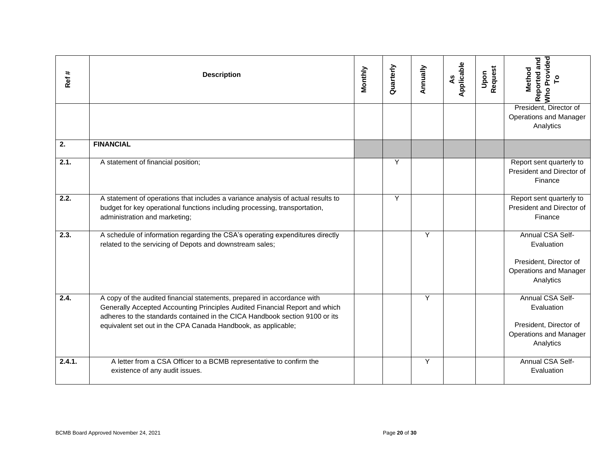| Ref#   | <b>Description</b>                                                                                                                                                                                                                                                                                     | Monthly | Quarterly     | Annually | Applicable<br>٩S | Request<br>Upon | Provided<br>To<br>Reported and<br>Method<br>Who                                                        |
|--------|--------------------------------------------------------------------------------------------------------------------------------------------------------------------------------------------------------------------------------------------------------------------------------------------------------|---------|---------------|----------|------------------|-----------------|--------------------------------------------------------------------------------------------------------|
|        |                                                                                                                                                                                                                                                                                                        |         |               |          |                  |                 | President, Director of<br><b>Operations and Manager</b><br>Analytics                                   |
| 2.     | <b>FINANCIAL</b>                                                                                                                                                                                                                                                                                       |         |               |          |                  |                 |                                                                                                        |
| 2.1.   | A statement of financial position;                                                                                                                                                                                                                                                                     |         | Υ             |          |                  |                 | Report sent quarterly to<br>President and Director of<br>Finance                                       |
| 2.2.   | A statement of operations that includes a variance analysis of actual results to<br>budget for key operational functions including processing, transportation,<br>administration and marketing;                                                                                                        |         | Υ             |          |                  |                 | Report sent quarterly to<br>President and Director of<br>Finance                                       |
| 2.3.   | A schedule of information regarding the CSA's operating expenditures directly<br>related to the servicing of Depots and downstream sales;                                                                                                                                                              |         |               | Y        |                  |                 | Annual CSA Self-<br>Evaluation<br>President, Director of<br>Operations and Manager<br>Analytics        |
| 2.4.   | A copy of the audited financial statements, prepared in accordance with<br>Generally Accepted Accounting Principles Audited Financial Report and which<br>adheres to the standards contained in the CICA Handbook section 9100 or its<br>equivalent set out in the CPA Canada Handbook, as applicable; |         |               | Y        |                  |                 | Annual CSA Self-<br>Evaluation<br>President, Director of<br><b>Operations and Manager</b><br>Analytics |
| 2.4.1. | A letter from a CSA Officer to a BCMB representative to confirm the<br>existence of any audit issues.                                                                                                                                                                                                  |         |               | Y        |                  |                 | Annual CSA Self-<br>Evaluation                                                                         |
|        | BCMB Board Approved November 24, 2021                                                                                                                                                                                                                                                                  |         | Page 20 of 30 |          |                  |                 |                                                                                                        |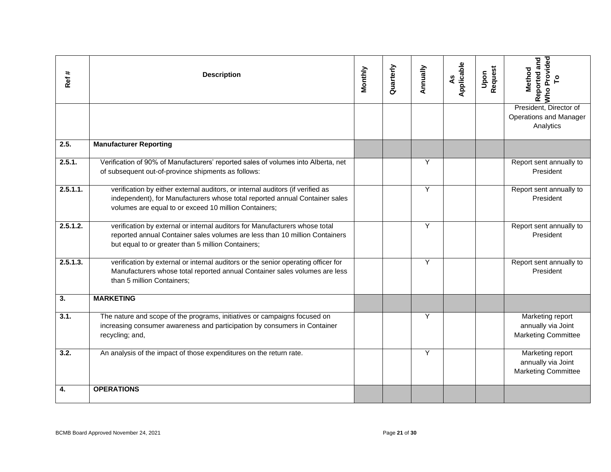| Ref#     | <b>Description</b>                                                                                                                                                                                                     | Monthly | Quarterly     | Annually | Applicable<br>$\mathbf{S}$ | Request<br>Upon | Reported and<br>Who Provided<br>Method                               |
|----------|------------------------------------------------------------------------------------------------------------------------------------------------------------------------------------------------------------------------|---------|---------------|----------|----------------------------|-----------------|----------------------------------------------------------------------|
|          |                                                                                                                                                                                                                        |         |               |          |                            |                 | President, Director of<br>Operations and Manager<br>Analytics        |
| 2.5.     | <b>Manufacturer Reporting</b>                                                                                                                                                                                          |         |               |          |                            |                 |                                                                      |
| 2.5.1.   | Verification of 90% of Manufacturers' reported sales of volumes into Alberta, net<br>of subsequent out-of-province shipments as follows:                                                                               |         |               | Y        |                            |                 | Report sent annually to<br>President                                 |
| 2.5.1.1. | verification by either external auditors, or internal auditors (if verified as<br>independent), for Manufacturers whose total reported annual Container sales<br>volumes are equal to or exceed 10 million Containers; |         |               | Υ        |                            |                 | Report sent annually to<br>President                                 |
| 2.5.1.2. | verification by external or internal auditors for Manufacturers whose total<br>reported annual Container sales volumes are less than 10 million Containers<br>but equal to or greater than 5 million Containers;       |         |               | Y        |                            |                 | Report sent annually to<br>President                                 |
| 2.5.1.3. | verification by external or internal auditors or the senior operating officer for<br>Manufacturers whose total reported annual Container sales volumes are less<br>than 5 million Containers;                          |         |               | Y        |                            |                 | Report sent annually to<br>President                                 |
| 3.       | <b>MARKETING</b>                                                                                                                                                                                                       |         |               |          |                            |                 |                                                                      |
| 3.1.     | The nature and scope of the programs, initiatives or campaigns focused on<br>increasing consumer awareness and participation by consumers in Container<br>recycling; and,                                              |         |               | Υ        |                            |                 | Marketing report<br>annually via Joint<br><b>Marketing Committee</b> |
| 3.2.     | An analysis of the impact of those expenditures on the return rate.                                                                                                                                                    |         |               | Y        |                            |                 | Marketing report<br>annually via Joint<br><b>Marketing Committee</b> |
| 4.       | <b>OPERATIONS</b>                                                                                                                                                                                                      |         |               |          |                            |                 |                                                                      |
|          | BCMB Board Approved November 24, 2021                                                                                                                                                                                  |         | Page 21 of 30 |          |                            |                 |                                                                      |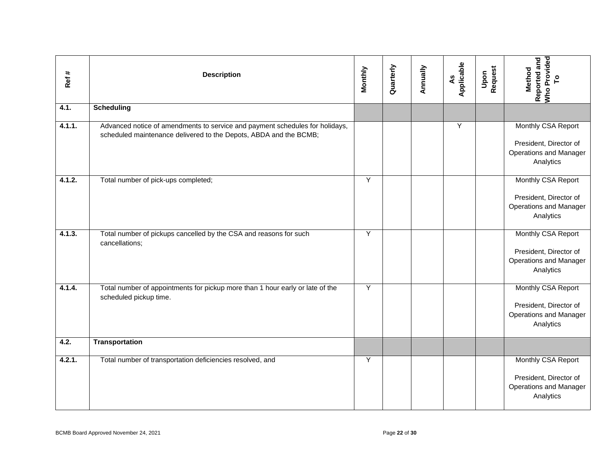| Ref#   | <b>Description</b>                                                                                                                                | Monthly | Quarterly     | Annually | As<br>Applicable | <b>Request</b><br>Upon | Reported and<br>Who Provided<br>To<br><b>Method</b>                                        |
|--------|---------------------------------------------------------------------------------------------------------------------------------------------------|---------|---------------|----------|------------------|------------------------|--------------------------------------------------------------------------------------------|
| 4.1.   | <b>Scheduling</b>                                                                                                                                 |         |               |          |                  |                        |                                                                                            |
| 4.1.1. | Advanced notice of amendments to service and payment schedules for holidays,<br>scheduled maintenance delivered to the Depots, ABDA and the BCMB; |         |               |          | Υ                |                        | Monthly CSA Report<br>President, Director of<br>Operations and Manager<br>Analytics        |
| 4.1.2. | Total number of pick-ups completed;                                                                                                               | Y       |               |          |                  |                        | Monthly CSA Report<br>President, Director of<br>Operations and Manager<br>Analytics        |
| 4.1.3. | Total number of pickups cancelled by the CSA and reasons for such<br>cancellations;                                                               | Y       |               |          |                  |                        | Monthly CSA Report<br>President, Director of<br>Operations and Manager<br>Analytics        |
| 4.1.4. | Total number of appointments for pickup more than 1 hour early or late of the<br>scheduled pickup time.                                           | Y       |               |          |                  |                        | Monthly CSA Report<br>President, Director of<br>Operations and Manager<br>Analytics        |
| 4.2.   | <b>Transportation</b>                                                                                                                             |         |               |          |                  |                        |                                                                                            |
| 4.2.1. | Total number of transportation deficiencies resolved, and                                                                                         | Y       |               |          |                  |                        | Monthly CSA Report<br>President, Director of<br><b>Operations and Manager</b><br>Analytics |
|        | BCMB Board Approved November 24, 2021                                                                                                             |         | Page 22 of 30 |          |                  |                        |                                                                                            |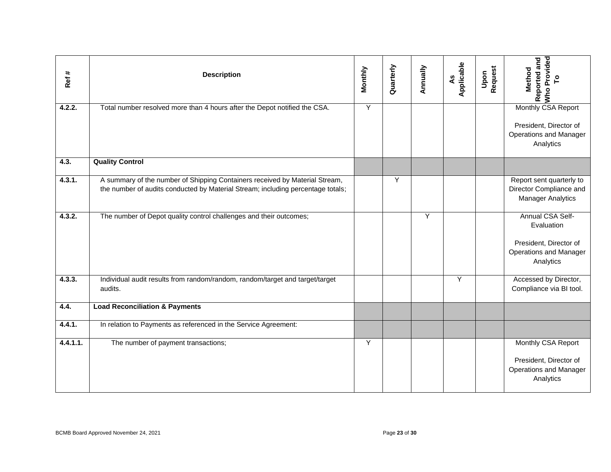| Ref#     | <b>Description</b>                                                                                                                                             | Monthly | Quarterly     | Annually | Applicable<br>$\mathbf{A}$ s | Upon<br>Request | <b>Who Provided</b><br>Reported and<br>Method<br>$\overline{\phantom{a}}^{\circ}$                      |
|----------|----------------------------------------------------------------------------------------------------------------------------------------------------------------|---------|---------------|----------|------------------------------|-----------------|--------------------------------------------------------------------------------------------------------|
| 4.2.2.   | Total number resolved more than 4 hours after the Depot notified the CSA.                                                                                      | Y       |               |          |                              |                 | Monthly CSA Report<br>President, Director of<br><b>Operations and Manager</b><br>Analytics             |
| 4.3.     | <b>Quality Control</b>                                                                                                                                         |         |               |          |                              |                 |                                                                                                        |
| 4.3.1.   | A summary of the number of Shipping Containers received by Material Stream,<br>the number of audits conducted by Material Stream; including percentage totals; |         | Y             |          |                              |                 | Report sent quarterly to<br>Director Compliance and<br><b>Manager Analytics</b>                        |
| 4.3.2.   | The number of Depot quality control challenges and their outcomes;                                                                                             |         |               | Y        |                              |                 | Annual CSA Self-<br>Evaluation<br>President, Director of<br><b>Operations and Manager</b><br>Analytics |
| 4.3.3.   | Individual audit results from random/random, random/target and target/target<br>audits.                                                                        |         |               |          | Υ                            |                 | Accessed by Director,<br>Compliance via BI tool.                                                       |
| 4.4.     | <b>Load Reconciliation &amp; Payments</b>                                                                                                                      |         |               |          |                              |                 |                                                                                                        |
| 4.4.1.   | In relation to Payments as referenced in the Service Agreement:                                                                                                |         |               |          |                              |                 |                                                                                                        |
| 4.4.1.1. | The number of payment transactions;                                                                                                                            | Y       |               |          |                              |                 | Monthly CSA Report<br>President, Director of<br><b>Operations and Manager</b><br>Analytics             |
|          | BCMB Board Approved November 24, 2021                                                                                                                          |         | Page 23 of 30 |          |                              |                 |                                                                                                        |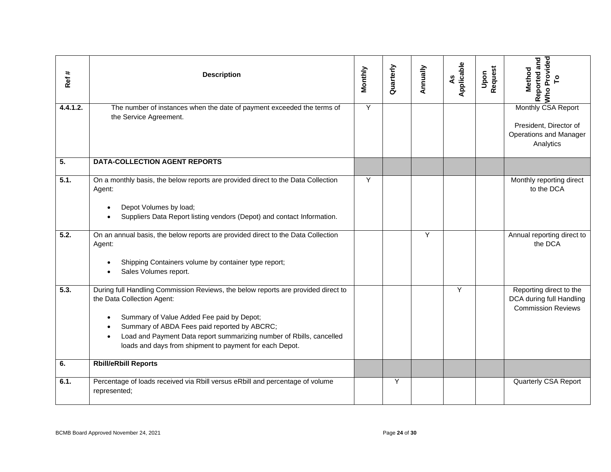| Ref#     | <b>Description</b>                                                                                                                                                                                                                                                                                                                              | Monthly | Quarterly     | Annually | As<br>Applicable | Request<br>Upon | Reported and<br>Who Provided<br><b>Method</b>                                              |
|----------|-------------------------------------------------------------------------------------------------------------------------------------------------------------------------------------------------------------------------------------------------------------------------------------------------------------------------------------------------|---------|---------------|----------|------------------|-----------------|--------------------------------------------------------------------------------------------|
| 4.4.1.2. | The number of instances when the date of payment exceeded the terms of<br>the Service Agreement.                                                                                                                                                                                                                                                | Y       |               |          |                  |                 | Monthly CSA Report<br>President, Director of<br><b>Operations and Manager</b><br>Analytics |
| 5.       | <b>DATA-COLLECTION AGENT REPORTS</b>                                                                                                                                                                                                                                                                                                            |         |               |          |                  |                 |                                                                                            |
| 5.1.     | On a monthly basis, the below reports are provided direct to the Data Collection<br>Agent:<br>Depot Volumes by load;<br>Suppliers Data Report listing vendors (Depot) and contact Information.                                                                                                                                                  | Y       |               |          |                  |                 | Monthly reporting direct<br>to the DCA                                                     |
| 5.2.     | On an annual basis, the below reports are provided direct to the Data Collection<br>Agent:<br>Shipping Containers volume by container type report;<br>$\bullet$<br>Sales Volumes report.                                                                                                                                                        |         |               | Y        |                  |                 | Annual reporting direct to<br>the DCA                                                      |
| 5.3.     | During full Handling Commission Reviews, the below reports are provided direct to<br>the Data Collection Agent:<br>Summary of Value Added Fee paid by Depot;<br>Summary of ABDA Fees paid reported by ABCRC;<br>Load and Payment Data report summarizing number of Rbills, cancelled<br>loads and days from shipment to payment for each Depot. |         |               |          | Y                |                 | Reporting direct to the<br>DCA during full Handling<br><b>Commission Reviews</b>           |
| 6.       | <b>Rbill/eRbill Reports</b>                                                                                                                                                                                                                                                                                                                     |         |               |          |                  |                 |                                                                                            |
| 6.1.     | Percentage of loads received via Rbill versus eRbill and percentage of volume<br>represented;                                                                                                                                                                                                                                                   |         | Υ             |          |                  |                 | Quarterly CSA Report                                                                       |
|          | BCMB Board Approved November 24, 2021                                                                                                                                                                                                                                                                                                           |         | Page 24 of 30 |          |                  |                 |                                                                                            |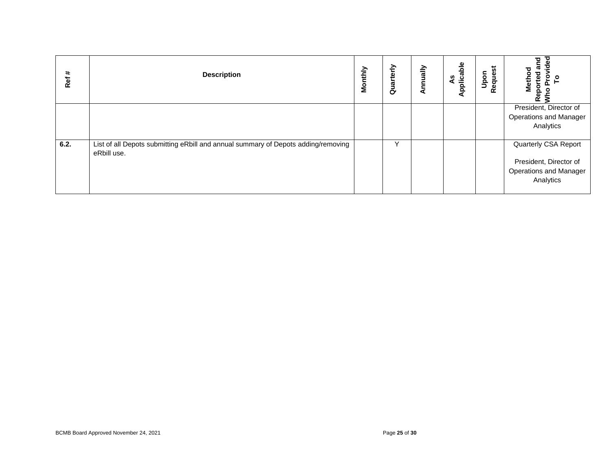| Ref# | <b>Description</b>                                                                               | Monthly | Quarterly     | Annually | Applicable<br>$\overline{a}$ | Upon<br>Request | Reported and<br>Who Provided<br>To<br><b>Method</b>                                   |
|------|--------------------------------------------------------------------------------------------------|---------|---------------|----------|------------------------------|-----------------|---------------------------------------------------------------------------------------|
|      |                                                                                                  |         |               |          |                              |                 | President, Director of<br>Operations and Manager<br>Analytics                         |
| 6.2. | List of all Depots submitting eRbill and annual summary of Depots adding/removing<br>eRbill use. |         | Y             |          |                              |                 | Quarterly CSA Report<br>President, Director of<br>Operations and Manager<br>Analytics |
|      |                                                                                                  |         |               |          |                              |                 |                                                                                       |
|      |                                                                                                  |         |               |          |                              |                 |                                                                                       |
|      |                                                                                                  |         |               |          |                              |                 |                                                                                       |
|      |                                                                                                  |         |               |          |                              |                 |                                                                                       |
|      |                                                                                                  |         |               |          |                              |                 |                                                                                       |
|      | BCMB Board Approved November 24, 2021                                                            |         | Page 25 of 30 |          |                              |                 |                                                                                       |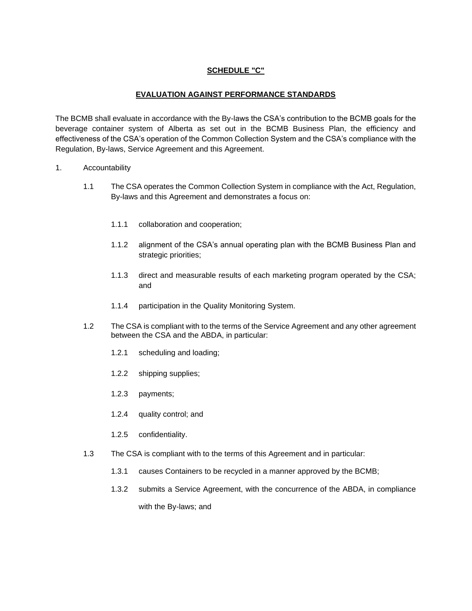# **SCHEDULE "C"**

# **EVALUATION AGAINST PERFORMANCE STANDARDS**

The BCMB shall evaluate in accordance with the By-laws the CSA's contribution to the BCMB goals for the beverage container system of Alberta as set out in the BCMB Business Plan, the efficiency and effectiveness of the CSA's operation of the Common Collection System and the CSA's compliance with the Regulation, By-laws, Service Agreement and this Agreement.

- 1. Accountability
	- 1.1 The CSA operates the Common Collection System in compliance with the Act, Regulation, By-laws and this Agreement and demonstrates a focus on:
		- 1.1.1 collaboration and cooperation;
		- 1.1.2 alignment of the CSA's annual operating plan with the BCMB Business Plan and strategic priorities;
		- 1.1.3 direct and measurable results of each marketing program operated by the CSA; and
		- 1.1.4 participation in the Quality Monitoring System.
	- 1.2 The CSA is compliant with to the terms of the Service Agreement and any other agreement between the CSA and the ABDA, in particular:
		- 1.2.1 scheduling and loading;
		- 1.2.2 shipping supplies;
		- 1.2.3 payments;
		- 1.2.4 quality control; and
		- 1.2.5 confidentiality.
	- 1.3 The CSA is compliant with to the terms of this Agreement and in particular:
		- 1.3.1 causes Containers to be recycled in a manner approved by the BCMB;
		- 1.3.2 submits a Service Agreement, with the concurrence of the ABDA, in compliance with the By-laws; and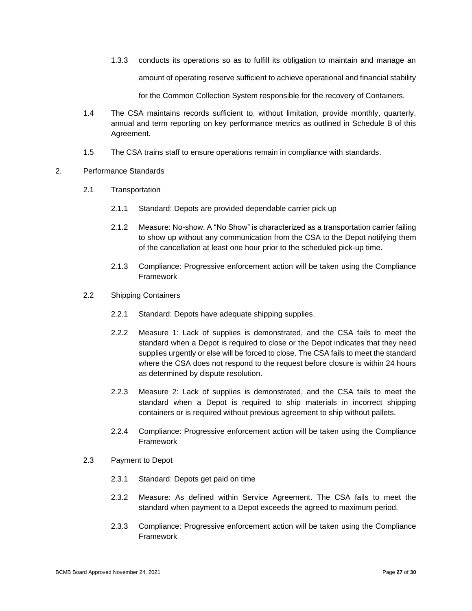1.3.3 conducts its operations so as to fulfill its obligation to maintain and manage an amount of operating reserve sufficient to achieve operational and financial stability

for the Common Collection System responsible for the recovery of Containers.

- 1.4 The CSA maintains records sufficient to, without limitation, provide monthly, quarterly, annual and term reporting on key performance metrics as outlined in Schedule B of this Agreement.
- 1.5 The CSA trains staff to ensure operations remain in compliance with standards.

# 2. Performance Standards

- 2.1 Transportation
	- 2.1.1 Standard: Depots are provided dependable carrier pick up
	- 2.1.2 Measure: No-show. A "No Show" is characterized as a transportation carrier failing to show up without any communication from the CSA to the Depot notifying them of the cancellation at least one hour prior to the scheduled pick-up time.
	- 2.1.3 Compliance: Progressive enforcement action will be taken using the Compliance Framework
- 2.2 Shipping Containers
	- 2.2.1 Standard: Depots have adequate shipping supplies.
	- 2.2.2 Measure 1: Lack of supplies is demonstrated, and the CSA fails to meet the standard when a Depot is required to close or the Depot indicates that they need supplies urgently or else will be forced to close. The CSA fails to meet the standard where the CSA does not respond to the request before closure is within 24 hours as determined by dispute resolution.
	- 2.2.3 Measure 2: Lack of supplies is demonstrated, and the CSA fails to meet the standard when a Depot is required to ship materials in incorrect shipping containers or is required without previous agreement to ship without pallets.
	- 2.2.4 Compliance: Progressive enforcement action will be taken using the Compliance Framework
- 2.3 Payment to Depot
	- 2.3.1 Standard: Depots get paid on time
	- 2.3.2 Measure: As defined within Service Agreement. The CSA fails to meet the standard when payment to a Depot exceeds the agreed to maximum period.
	- 2.3.3 Compliance: Progressive enforcement action will be taken using the Compliance Framework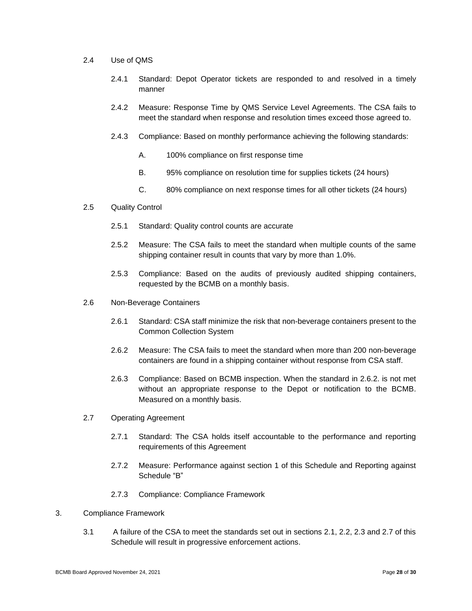- 2.4 Use of QMS
	- 2.4.1 Standard: Depot Operator tickets are responded to and resolved in a timely manner
	- 2.4.2 Measure: Response Time by QMS Service Level Agreements. The CSA fails to meet the standard when response and resolution times exceed those agreed to.
	- 2.4.3 Compliance: Based on monthly performance achieving the following standards:
		- A. 100% compliance on first response time
		- B. 95% compliance on resolution time for supplies tickets (24 hours)
		- C. 80% compliance on next response times for all other tickets (24 hours)
- 2.5 Quality Control
	- 2.5.1 Standard: Quality control counts are accurate
	- 2.5.2 Measure: The CSA fails to meet the standard when multiple counts of the same shipping container result in counts that vary by more than 1.0%.
	- 2.5.3 Compliance: Based on the audits of previously audited shipping containers, requested by the BCMB on a monthly basis.
- 2.6 Non-Beverage Containers
	- 2.6.1 Standard: CSA staff minimize the risk that non-beverage containers present to the Common Collection System
	- 2.6.2 Measure: The CSA fails to meet the standard when more than 200 non-beverage containers are found in a shipping container without response from CSA staff.
	- 2.6.3 Compliance: Based on BCMB inspection. When the standard in 2.6.2. is not met without an appropriate response to the Depot or notification to the BCMB. Measured on a monthly basis.
- 2.7 Operating Agreement
	- 2.7.1 Standard: The CSA holds itself accountable to the performance and reporting requirements of this Agreement
	- 2.7.2 Measure: Performance against section 1 of this Schedule and Reporting against Schedule "B"
	- 2.7.3 Compliance: Compliance Framework
- 3. Compliance Framework
	- 3.1 A failure of the CSA to meet the standards set out in sections 2.1, 2.2, 2.3 and 2.7 of this Schedule will result in progressive enforcement actions.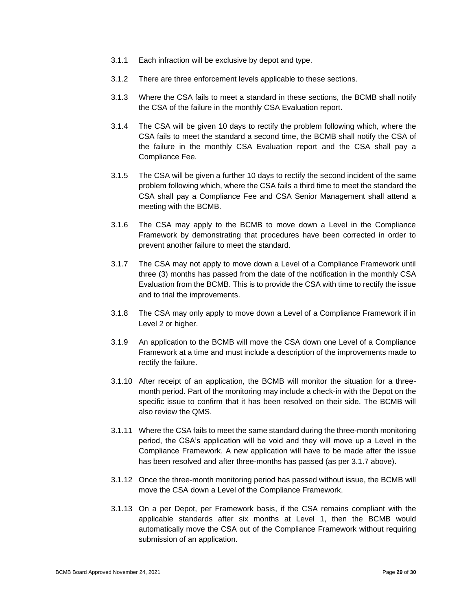- 3.1.1 Each infraction will be exclusive by depot and type.
- 3.1.2 There are three enforcement levels applicable to these sections.
- 3.1.3 Where the CSA fails to meet a standard in these sections, the BCMB shall notify the CSA of the failure in the monthly CSA Evaluation report.
- 3.1.4 The CSA will be given 10 days to rectify the problem following which, where the CSA fails to meet the standard a second time, the BCMB shall notify the CSA of the failure in the monthly CSA Evaluation report and the CSA shall pay a Compliance Fee.
- 3.1.5 The CSA will be given a further 10 days to rectify the second incident of the same problem following which, where the CSA fails a third time to meet the standard the CSA shall pay a Compliance Fee and CSA Senior Management shall attend a meeting with the BCMB.
- 3.1.6 The CSA may apply to the BCMB to move down a Level in the Compliance Framework by demonstrating that procedures have been corrected in order to prevent another failure to meet the standard.
- 3.1.7 The CSA may not apply to move down a Level of a Compliance Framework until three (3) months has passed from the date of the notification in the monthly CSA Evaluation from the BCMB. This is to provide the CSA with time to rectify the issue and to trial the improvements.
- 3.1.8 The CSA may only apply to move down a Level of a Compliance Framework if in Level 2 or higher.
- 3.1.9 An application to the BCMB will move the CSA down one Level of a Compliance Framework at a time and must include a description of the improvements made to rectify the failure.
- 3.1.10 After receipt of an application, the BCMB will monitor the situation for a threemonth period. Part of the monitoring may include a check-in with the Depot on the specific issue to confirm that it has been resolved on their side. The BCMB will also review the QMS.
- 3.1.11 Where the CSA fails to meet the same standard during the three-month monitoring period, the CSA's application will be void and they will move up a Level in the Compliance Framework. A new application will have to be made after the issue has been resolved and after three-months has passed (as per 3.1.7 above).
- 3.1.12 Once the three-month monitoring period has passed without issue, the BCMB will move the CSA down a Level of the Compliance Framework.
- 3.1.13 On a per Depot, per Framework basis, if the CSA remains compliant with the applicable standards after six months at Level 1, then the BCMB would automatically move the CSA out of the Compliance Framework without requiring submission of an application.